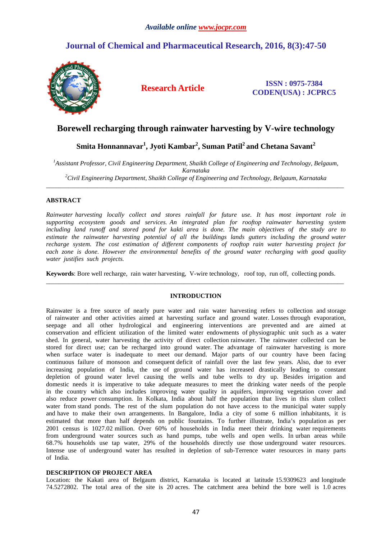# **Journal of Chemical and Pharmaceutical Research, 2016, 8(3):47-50**



**Research Article ISSN : 0975-7384 CODEN(USA) : JCPRC5**

# **Borewell recharging through rainwater harvesting by V-wire technology**

# **Smita Honnannavar<sup>1</sup> , Jyoti Kambar<sup>2</sup> , Suman Patil<sup>2</sup>and Chetana Savant<sup>2</sup>**

*<sup>1</sup>Assistant Professor, Civil Engineering Department, Shaikh College of Engineering and Technology, Belgaum, Karnataka <sup>2</sup>Civil Engineering Department, Shaikh College of Engineering and Technology, Belgaum, Karnataka* 

\_\_\_\_\_\_\_\_\_\_\_\_\_\_\_\_\_\_\_\_\_\_\_\_\_\_\_\_\_\_\_\_\_\_\_\_\_\_\_\_\_\_\_\_\_\_\_\_\_\_\_\_\_\_\_\_\_\_\_\_\_\_\_\_\_\_\_\_\_\_\_\_\_\_\_\_\_\_\_\_\_\_\_\_\_\_\_\_\_\_\_\_\_

# **ABSTRACT**

*Rainwater harvesting locally collect and stores rainfall for future use. It has most important role in supporting ecosystem goods and services. An integrated plan for rooftop rainwater harvesting system including land runoff and stored pond for kakti area is done. The main objectives of the study are to estimate the rainwater harvesting potential of all the buildings lands gutters including the ground water recharge system. The cost estimation of different components of rooftop rain water harvesting project for each zone is done. However the environmental benefits of the ground water recharging with good quality water justifies such projects.* 

**Keywords**: Bore well recharge, rain water harvesting, V-wire technology, roof top, run off, collecting ponds.

## **INTRODUCTION**

\_\_\_\_\_\_\_\_\_\_\_\_\_\_\_\_\_\_\_\_\_\_\_\_\_\_\_\_\_\_\_\_\_\_\_\_\_\_\_\_\_\_\_\_\_\_\_\_\_\_\_\_\_\_\_\_\_\_\_\_\_\_\_\_\_\_\_\_\_\_\_\_\_\_\_\_\_\_\_\_\_\_\_\_\_\_\_\_\_\_\_\_\_

Rainwater is a free source of nearly pure water and rain water harvesting refers to collection and storage of rainwater and other activities aimed at harvesting surface and ground water. Losses through evaporation, seepage and all other hydrological and engineering interventions are prevented and are aimed at conservation and efficient utilization of the limited water endowments of physiographic unit such as a water shed. In general, water harvesting the activity of direct collection rainwater. The rainwater collected can be stored for direct use; can be recharged into ground water. The advantage of rainwater harvesting is more when surface water is inadequate to meet our demand. Major parts of our country have been facing continuous failure of monsoon and consequent deficit of rainfall over the last few years. Also, due to ever increasing population of India, the use of ground water has increased drastically leading to constant depletion of ground water level causing the wells and tube wells to dry up. Besides irrigation and domestic needs it is imperative to take adequate measures to meet the drinking water needs of the people in the country which also includes improving water quality in aquifers, improving vegetation cover and also reduce power consumption. In Kolkata, India about half the population that lives in this slum collect water from stand ponds. The rest of the slum population do not have access to the municipal water supply and have to make their own arrangements. In Bangalore, India a city of some 6 million inhabitants, it is estimated that more than half depends on public fountains. To further illustrate, India's population as per 2001 census is 1027.02 million. Over 60% of households in India meet their drinking water requirements from underground water sources such as hand pumps, tube wells and open wells. In urban areas while 68.7% households use tap water, 29% of the households directly use those underground water resources. Intense use of underground water has resulted in depletion of sub-Terrence water resources in many parts of India.

## **DESCRIPTION OF PROJECT AREA**

Location: the Kakati area of Belgaum district, Karnataka is located at latitude 15.9309623 and longitude 74.5272802. The total area of the site is 20 acres. The catchment area behind the bore well is 1.0 acres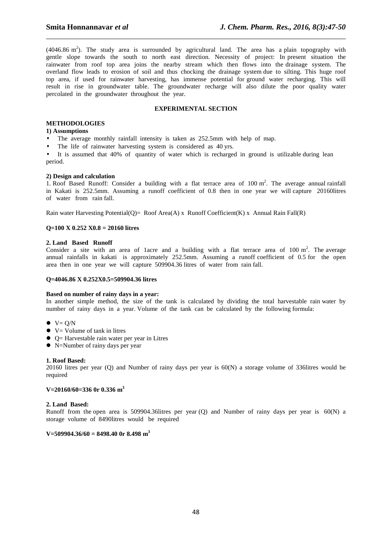(4046.86 m<sup>2</sup>). The study area is surrounded by agricultural land. The area has a plain topography with gentle slope towards the south to north east direction. Necessity of project: In present situation the rainwater from roof top area joins the nearby stream which then flows into the drainage system. The overland flow leads to erosion of soil and thus chocking the drainage system due to silting. This huge roof top area, if used for rainwater harvesting, has immense potential for ground water recharging. This will result in rise in groundwater table. The groundwater recharge will also dilute the poor quality water percolated in the groundwater throughout the year.

\_\_\_\_\_\_\_\_\_\_\_\_\_\_\_\_\_\_\_\_\_\_\_\_\_\_\_\_\_\_\_\_\_\_\_\_\_\_\_\_\_\_\_\_\_\_\_\_\_\_\_\_\_\_\_\_\_\_\_\_\_\_\_\_\_\_\_\_\_\_\_\_\_\_\_\_\_\_

# **EXPERIMENTAL SECTION**

### **METHODOLOGIES**

#### **1) Assumptions**

- The average monthly rainfall intensity is taken as 252.5mm with help of map.
- The life of rainwater harvesting system is considered as 40 yrs.

It is assumed that 40% of quantity of water which is recharged in ground is utilizable during lean period.

#### **2) Design and calculation**

1. Roof Based Runoff: Consider a building with a flat terrace area of  $100 \text{ m}^2$ . The average annual rainfall in Kakati is 252.5mm. Assuming a runoff coefficient of 0.8 then in one year we will capture 20160litres of water from rain fall.

Rain water Harvesting Potential(Q)= Roof Area(A) x Runoff Coefficient(K) x Annual Rain Fall(R)

## **Q=100 X 0.252 X0.8 = 20160 litres**

#### **2. Land Based Runoff**

Consider a site with an area of 1 acre and a building with a flat terrace area of  $100 \text{ m}^2$ . The average annual rainfalls in kakati is approximately 252.5mm. Assuming a runoff coefficient of 0.5 for the open area then in one year we will capture 509904.36 litres of water from rain fall.

#### **Q=4046.86 X 0.252X0.5=509904.36 litres**

#### **Based on number of rainy days in a year:**

In another simple method, the size of the tank is calculated by dividing the total harvestable rain water by number of rainy days in a year. Volume of the tank can be calculated by the following formula:

- $V = Q/N$
- $\bullet\ \text{V}$  = Volume of tank in litres
- $\bullet$   $Q=$  Harvestable rain water per year in Litres
- N=Number of rainy days per year

#### **1. Roof Based:**

20160 litres per year (Q) and Number of rainy days per year is 60(N) a storage volume of 336litres would be required

#### **V=20160/60=336 0r 0.336 m<sup>3</sup>**

## **2. Land Based:**

Runoff from the open area is 509904.36litres per year (Q) and Number of rainy days per year is 60(N) a storage volume of 8490litres would be required

#### **V=509904.36/60 = 8498.40 0r 8.498 m<sup>3</sup>**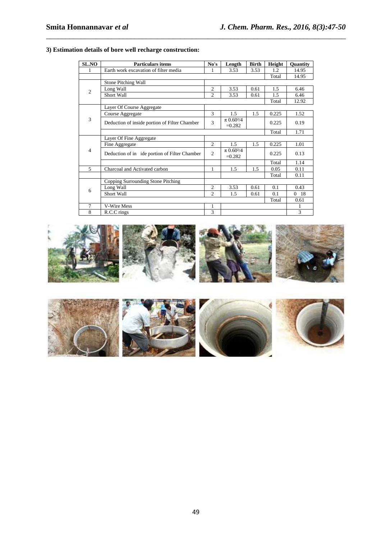| <b>SL.NO</b>   | <b>Particulars items</b>                      | No's              | Length                                 | <b>Birth</b> | Height | <b>Ouantity</b>  |
|----------------|-----------------------------------------------|-------------------|----------------------------------------|--------------|--------|------------------|
| 1              | Earth work excavation of filter media         | 3.53<br>3.53<br>1 |                                        |              | 1.2    | 14.95            |
|                |                                               | Total             | 14.95                                  |              |        |                  |
| $\overline{2}$ | Stone Pitching Wall                           |                   |                                        |              |        |                  |
|                | Long Wall                                     | $\overline{2}$    | 3.53                                   | 0.61         | 1.5    | 6.46             |
|                | Short Wall                                    | $\overline{c}$    | 3.53                                   | 0.61         | 1.5    | 6.46             |
|                |                                               |                   |                                        |              |        | 12.92            |
| 3              | Layer Of Course Aggregate                     |                   |                                        |              |        |                  |
|                | Course Aggregate                              | 3                 | 1.5                                    | 1.5          | 0.225  | 1.52             |
|                | Deduction of inside portion of Filter Chamber | 3                 | $\pi$ 0.60 <sup>2</sup> /4<br>$=0.282$ |              | 0.225  | 0.19             |
|                |                                               |                   |                                        |              | Total  | 1.71             |
| $\overline{4}$ | Layer Of Fine Aggregate                       |                   |                                        |              |        |                  |
|                | Fine Aggregate                                | $\mathfrak{D}$    | 1.5                                    | 1.5          | 0.225  | 1.01             |
|                | Deduction of in ide portion of Filter Chamber | $\overline{2}$    | $\pi$ 0.60 <sup>2</sup> /4<br>$=0.282$ |              | 0.225  | 0.13             |
|                |                                               |                   |                                        |              | Total  | 1.14             |
| 5              | Charcoal and Activated carbon                 | 1                 | 1.5                                    | 1.5          | 0.05   | 0.11             |
|                |                                               |                   |                                        |              | Total  | 0.11             |
| 6              | Copping Surrounding Stone Pitching            |                   |                                        |              |        |                  |
|                | Long Wall                                     | $\overline{2}$    | 3.53                                   | 0.61         | 0.1    | 0.43             |
|                | Short Wall                                    | $\overline{c}$    | 1.5                                    | 0.61         | 0.1    | $\Omega$<br>- 18 |
|                |                                               |                   |                                        |              | Total  | 0.61             |
| $\tau$         | <b>V-Wire Mess</b>                            | 1                 |                                        |              |        | 1                |
| 8              | R.C.C rings                                   | 3                 |                                        |              |        | 3                |

\_\_\_\_\_\_\_\_\_\_\_\_\_\_\_\_\_\_\_\_\_\_\_\_\_\_\_\_\_\_\_\_\_\_\_\_\_\_\_\_\_\_\_\_\_\_\_\_\_\_\_\_\_\_\_\_\_\_\_\_\_\_\_\_\_\_\_\_\_\_\_\_\_\_\_\_\_\_

# **3) Estimation details of bore well recharge construction:**